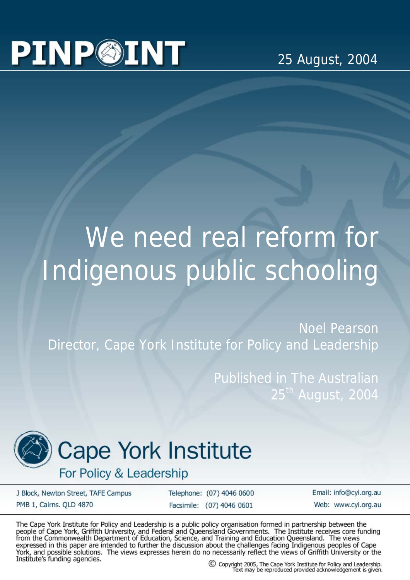## **PINP@INT**

25 August, 2004

## We need real reform for Indigenous public schooling

Noel Pearson Director, Cape York Institute for Policy and Leadership

> Published in The Australian 25<sup>th</sup> August, 2004



## **Cape York Institute**

For Policy & Leadership

J Block, Newton Street, TAFE Campus PMB 1, Cairns. QLD 4870

Telephone: (07) 4046 0600 Facsimile: (07) 4046 0601

Email: info@cyi.org.au Web: www.cvi.org.au

The Cape York Institute for Policy and Leadership is a public policy organisation formed in partnership between the people of Cape York, Griffith University, and Federal and Queensland Governments. The Institute receives c expressed in this paper are intended to further the discussion about the challenges facing Indigenous peoples of Cape<br>York, and possible solutions. The views expresses herein do no necessarily reflect the views of Griffith Institute's funding agencies.

C Copyright 2005, The Cape York Institute for Policy and Leadership.<br>Text may be reproduced provided acknowledgement is given.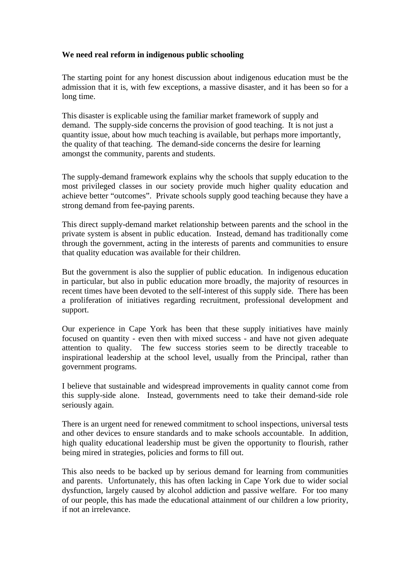## **We need real reform in indigenous public schooling**

The starting point for any honest discussion about indigenous education must be the admission that it is, with few exceptions, a massive disaster, and it has been so for a long time.

This disaster is explicable using the familiar market framework of supply and demand. The supply-side concerns the provision of good teaching. It is not just a quantity issue, about how much teaching is available, but perhaps more importantly, the quality of that teaching. The demand-side concerns the desire for learning amongst the community, parents and students.

The supply-demand framework explains why the schools that supply education to the most privileged classes in our society provide much higher quality education and achieve better "outcomes". Private schools supply good teaching because they have a strong demand from fee-paying parents.

This direct supply-demand market relationship between parents and the school in the private system is absent in public education. Instead, demand has traditionally come through the government, acting in the interests of parents and communities to ensure that quality education was available for their children.

But the government is also the supplier of public education. In indigenous education in particular, but also in public education more broadly, the majority of resources in recent times have been devoted to the self-interest of this supply side. There has been a proliferation of initiatives regarding recruitment, professional development and support.

Our experience in Cape York has been that these supply initiatives have mainly focused on quantity - even then with mixed success - and have not given adequate attention to quality. The few success stories seem to be directly traceable to inspirational leadership at the school level, usually from the Principal, rather than government programs.

I believe that sustainable and widespread improvements in quality cannot come from this supply-side alone. Instead, governments need to take their demand-side role seriously again.

There is an urgent need for renewed commitment to school inspections, universal tests and other devices to ensure standards and to make schools accountable. In addition, high quality educational leadership must be given the opportunity to flourish, rather being mired in strategies, policies and forms to fill out.

This also needs to be backed up by serious demand for learning from communities and parents. Unfortunately, this has often lacking in Cape York due to wider social dysfunction, largely caused by alcohol addiction and passive welfare. For too many of our people, this has made the educational attainment of our children a low priority, if not an irrelevance.